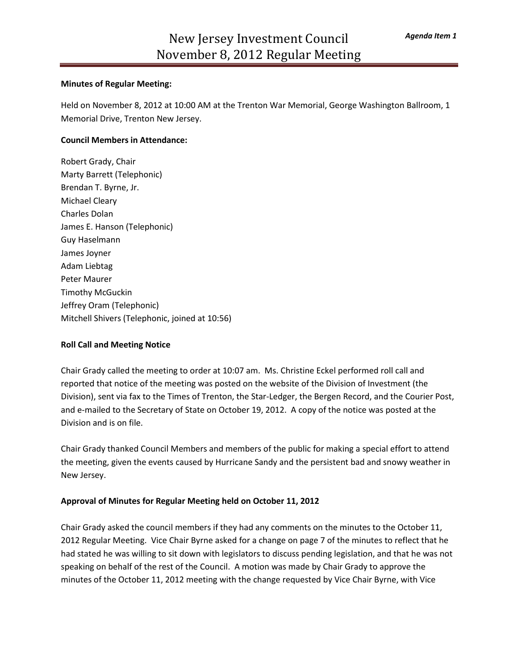#### **Minutes of Regular Meeting:**

Held on November 8, 2012 at 10:00 AM at the Trenton War Memorial, George Washington Ballroom, 1 Memorial Drive, Trenton New Jersey.

#### **Council Members in Attendance:**

Robert Grady, Chair Marty Barrett (Telephonic) Brendan T. Byrne, Jr. Michael Cleary Charles Dolan James E. Hanson (Telephonic) Guy Haselmann James Joyner Adam Liebtag Peter Maurer Timothy McGuckin Jeffrey Oram (Telephonic) Mitchell Shivers (Telephonic, joined at 10:56)

#### **Roll Call and Meeting Notice**

Chair Grady called the meeting to order at 10:07 am. Ms. Christine Eckel performed roll call and reported that notice of the meeting was posted on the website of the Division of Investment (the Division), sent via fax to the Times of Trenton, the Star-Ledger, the Bergen Record, and the Courier Post, and e-mailed to the Secretary of State on October 19, 2012. A copy of the notice was posted at the Division and is on file.

Chair Grady thanked Council Members and members of the public for making a special effort to attend the meeting, given the events caused by Hurricane Sandy and the persistent bad and snowy weather in New Jersey.

#### **Approval of Minutes for Regular Meeting held on October 11, 2012**

Chair Grady asked the council members if they had any comments on the minutes to the October 11, 2012 Regular Meeting. Vice Chair Byrne asked for a change on page 7 of the minutes to reflect that he had stated he was willing to sit down with legislators to discuss pending legislation, and that he was not speaking on behalf of the rest of the Council. A motion was made by Chair Grady to approve the minutes of the October 11, 2012 meeting with the change requested by Vice Chair Byrne, with Vice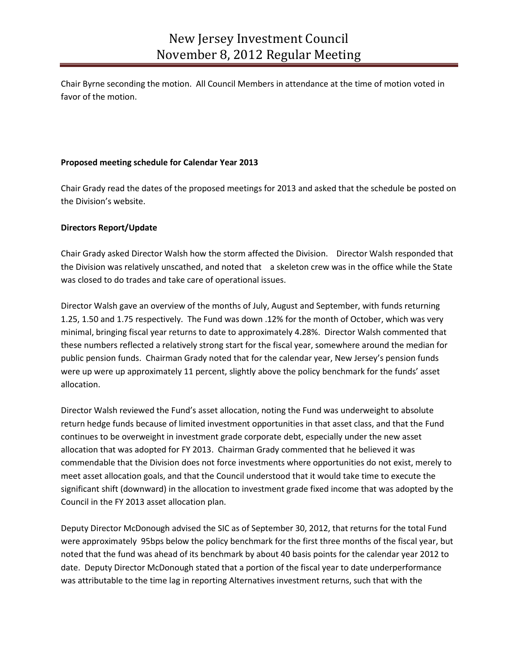Chair Byrne seconding the motion. All Council Members in attendance at the time of motion voted in favor of the motion.

## **Proposed meeting schedule for Calendar Year 2013**

Chair Grady read the dates of the proposed meetings for 2013 and asked that the schedule be posted on the Division's website.

## **Directors Report/Update**

Chair Grady asked Director Walsh how the storm affected the Division. Director Walsh responded that the Division was relatively unscathed, and noted that a skeleton crew was in the office while the State was closed to do trades and take care of operational issues.

Director Walsh gave an overview of the months of July, August and September, with funds returning 1.25, 1.50 and 1.75 respectively. The Fund was down .12% for the month of October, which was very minimal, bringing fiscal year returns to date to approximately 4.28%. Director Walsh commented that these numbers reflected a relatively strong start for the fiscal year, somewhere around the median for public pension funds. Chairman Grady noted that for the calendar year, New Jersey's pension funds were up were up approximately 11 percent, slightly above the policy benchmark for the funds' asset allocation.

Director Walsh reviewed the Fund's asset allocation, noting the Fund was underweight to absolute return hedge funds because of limited investment opportunities in that asset class, and that the Fund continues to be overweight in investment grade corporate debt, especially under the new asset allocation that was adopted for FY 2013. Chairman Grady commented that he believed it was commendable that the Division does not force investments where opportunities do not exist, merely to meet asset allocation goals, and that the Council understood that it would take time to execute the significant shift (downward) in the allocation to investment grade fixed income that was adopted by the Council in the FY 2013 asset allocation plan.

Deputy Director McDonough advised the SIC as of September 30, 2012, that returns for the total Fund were approximately 95bps below the policy benchmark for the first three months of the fiscal year, but noted that the fund was ahead of its benchmark by about 40 basis points for the calendar year 2012 to date. Deputy Director McDonough stated that a portion of the fiscal year to date underperformance was attributable to the time lag in reporting Alternatives investment returns, such that with the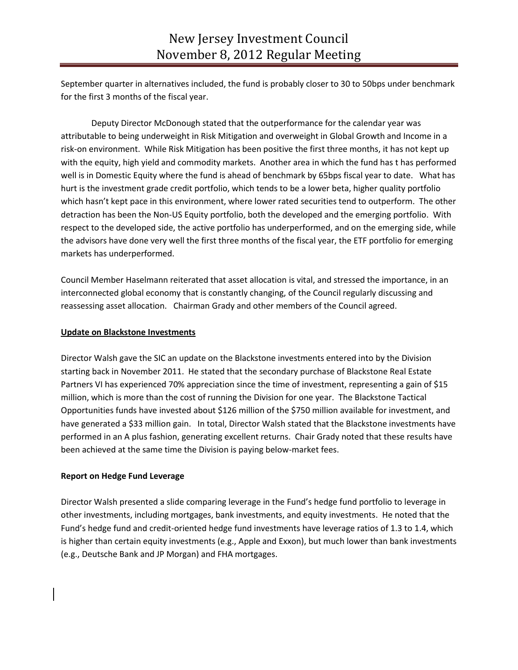September quarter in alternatives included, the fund is probably closer to 30 to 50bps under benchmark for the first 3 months of the fiscal year.

Deputy Director McDonough stated that the outperformance for the calendar year was attributable to being underweight in Risk Mitigation and overweight in Global Growth and Income in a risk-on environment. While Risk Mitigation has been positive the first three months, it has not kept up with the equity, high yield and commodity markets. Another area in which the fund has t has performed well is in Domestic Equity where the fund is ahead of benchmark by 65bps fiscal year to date. What has hurt is the investment grade credit portfolio, which tends to be a lower beta, higher quality portfolio which hasn't kept pace in this environment, where lower rated securities tend to outperform. The other detraction has been the Non-US Equity portfolio, both the developed and the emerging portfolio. With respect to the developed side, the active portfolio has underperformed, and on the emerging side, while the advisors have done very well the first three months of the fiscal year, the ETF portfolio for emerging markets has underperformed.

Council Member Haselmann reiterated that asset allocation is vital, and stressed the importance, in an interconnected global economy that is constantly changing, of the Council regularly discussing and reassessing asset allocation. Chairman Grady and other members of the Council agreed.

## **Update on Blackstone Investments**

Director Walsh gave the SIC an update on the Blackstone investments entered into by the Division starting back in November 2011. He stated that the secondary purchase of Blackstone Real Estate Partners VI has experienced 70% appreciation since the time of investment, representing a gain of \$15 million, which is more than the cost of running the Division for one year. The Blackstone Tactical Opportunities funds have invested about \$126 million of the \$750 million available for investment, and have generated a \$33 million gain. In total, Director Walsh stated that the Blackstone investments have performed in an A plus fashion, generating excellent returns. Chair Grady noted that these results have been achieved at the same time the Division is paying below-market fees.

## **Report on Hedge Fund Leverage**

Director Walsh presented a slide comparing leverage in the Fund's hedge fund portfolio to leverage in other investments, including mortgages, bank investments, and equity investments. He noted that the Fund's hedge fund and credit-oriented hedge fund investments have leverage ratios of 1.3 to 1.4, which is higher than certain equity investments (e.g., Apple and Exxon), but much lower than bank investments (e.g., Deutsche Bank and JP Morgan) and FHA mortgages.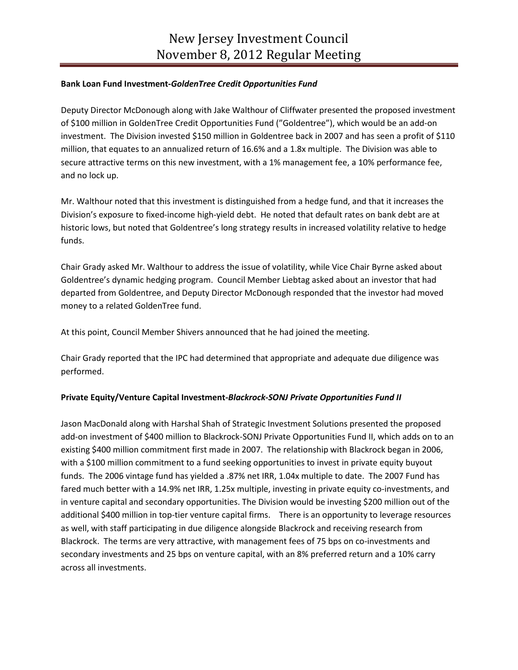## **Bank Loan Fund Investment-***GoldenTree Credit Opportunities Fund*

Deputy Director McDonough along with Jake Walthour of Cliffwater presented the proposed investment of \$100 million in GoldenTree Credit Opportunities Fund ("Goldentree"), which would be an add-on investment. The Division invested \$150 million in Goldentree back in 2007 and has seen a profit of \$110 million, that equates to an annualized return of 16.6% and a 1.8x multiple. The Division was able to secure attractive terms on this new investment, with a 1% management fee, a 10% performance fee, and no lock up.

Mr. Walthour noted that this investment is distinguished from a hedge fund, and that it increases the Division's exposure to fixed-income high-yield debt. He noted that default rates on bank debt are at historic lows, but noted that Goldentree's long strategy results in increased volatility relative to hedge funds.

Chair Grady asked Mr. Walthour to address the issue of volatility, while Vice Chair Byrne asked about Goldentree's dynamic hedging program. Council Member Liebtag asked about an investor that had departed from Goldentree, and Deputy Director McDonough responded that the investor had moved money to a related GoldenTree fund.

At this point, Council Member Shivers announced that he had joined the meeting.

Chair Grady reported that the IPC had determined that appropriate and adequate due diligence was performed.

# **Private Equity/Venture Capital Investment-***Blackrock-SONJ Private Opportunities Fund II*

Jason MacDonald along with Harshal Shah of Strategic Investment Solutions presented the proposed add-on investment of \$400 million to Blackrock-SONJ Private Opportunities Fund II, which adds on to an existing \$400 million commitment first made in 2007. The relationship with Blackrock began in 2006, with a \$100 million commitment to a fund seeking opportunities to invest in private equity buyout funds. The 2006 vintage fund has yielded a .87% net IRR, 1.04x multiple to date. The 2007 Fund has fared much better with a 14.9% net IRR, 1.25x multiple, investing in private equity co-investments, and in venture capital and secondary opportunities. The Division would be investing \$200 million out of the additional \$400 million in top-tier venture capital firms. There is an opportunity to leverage resources as well, with staff participating in due diligence alongside Blackrock and receiving research from Blackrock. The terms are very attractive, with management fees of 75 bps on co-investments and secondary investments and 25 bps on venture capital, with an 8% preferred return and a 10% carry across all investments.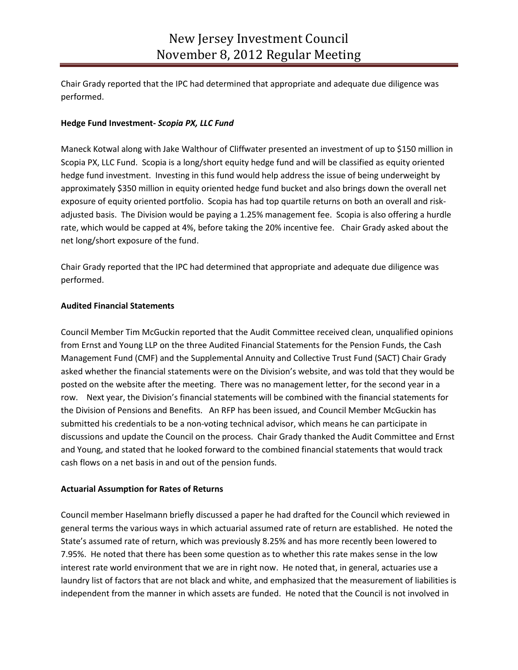Chair Grady reported that the IPC had determined that appropriate and adequate due diligence was performed.

## **Hedge Fund Investment-** *Scopia PX, LLC Fund*

Maneck Kotwal along with Jake Walthour of Cliffwater presented an investment of up to \$150 million in Scopia PX, LLC Fund. Scopia is a long/short equity hedge fund and will be classified as equity oriented hedge fund investment. Investing in this fund would help address the issue of being underweight by approximately \$350 million in equity oriented hedge fund bucket and also brings down the overall net exposure of equity oriented portfolio. Scopia has had top quartile returns on both an overall and riskadjusted basis. The Division would be paying a 1.25% management fee. Scopia is also offering a hurdle rate, which would be capped at 4%, before taking the 20% incentive fee. Chair Grady asked about the net long/short exposure of the fund.

Chair Grady reported that the IPC had determined that appropriate and adequate due diligence was performed.

## **Audited Financial Statements**

Council Member Tim McGuckin reported that the Audit Committee received clean, unqualified opinions from Ernst and Young LLP on the three Audited Financial Statements for the Pension Funds, the Cash Management Fund (CMF) and the Supplemental Annuity and Collective Trust Fund (SACT) Chair Grady asked whether the financial statements were on the Division's website, and was told that they would be posted on the website after the meeting. There was no management letter, for the second year in a row. Next year, the Division's financial statements will be combined with the financial statements for the Division of Pensions and Benefits. An RFP has been issued, and Council Member McGuckin has submitted his credentials to be a non-voting technical advisor, which means he can participate in discussions and update the Council on the process. Chair Grady thanked the Audit Committee and Ernst and Young, and stated that he looked forward to the combined financial statements that would track cash flows on a net basis in and out of the pension funds.

## **Actuarial Assumption for Rates of Returns**

Council member Haselmann briefly discussed a paper he had drafted for the Council which reviewed in general terms the various ways in which actuarial assumed rate of return are established. He noted the State's assumed rate of return, which was previously 8.25% and has more recently been lowered to 7.95%. He noted that there has been some question as to whether this rate makes sense in the low interest rate world environment that we are in right now. He noted that, in general, actuaries use a laundry list of factors that are not black and white, and emphasized that the measurement of liabilities is independent from the manner in which assets are funded. He noted that the Council is not involved in